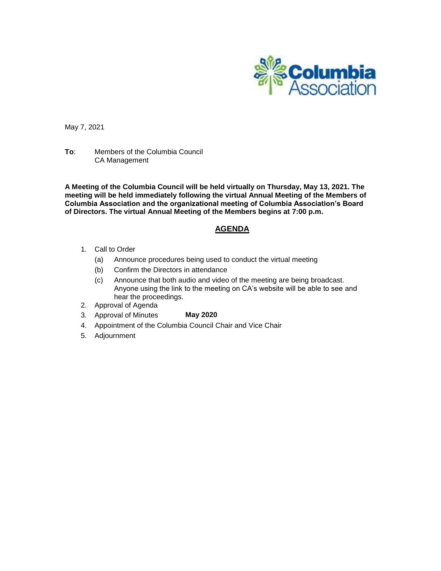

May 7, 2021

**To**: Members of the Columbia Council CA Management

**A Meeting of the Columbia Council will be held virtually on Thursday, May 13, 2021. The meeting will be held immediately following the virtual Annual Meeting of the Members of Columbia Association and the organizational meeting of Columbia Association's Board of Directors. The virtual Annual Meeting of the Members begins at 7:00 p.m.**

## **AGENDA**

- 1. Call to Order
	- (a) Announce procedures being used to conduct the virtual meeting
	- (b) Confirm the Directors in attendance
	- (c) Announce that both audio and video of the meeting are being broadcast. Anyone using the link to the meeting on CA's website will be able to see and hear the proceedings.
- 2. Approval of Agenda
- 3. Approval of Minutes **May 2020**
- 4. Appointment of the Columbia Council Chair and Vice Chair
- 5. Adjournment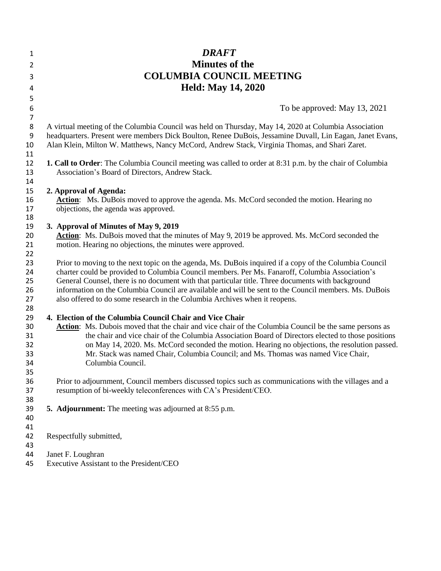| 1                | <b>DRAFT</b>                                                                                                                                                              |
|------------------|---------------------------------------------------------------------------------------------------------------------------------------------------------------------------|
| 2                | <b>Minutes of the</b>                                                                                                                                                     |
| 3                | <b>COLUMBIA COUNCIL MEETING</b>                                                                                                                                           |
|                  | <b>Held: May 14, 2020</b>                                                                                                                                                 |
| 4<br>5           |                                                                                                                                                                           |
| 6                | To be approved: May 13, 2021                                                                                                                                              |
| $\boldsymbol{7}$ |                                                                                                                                                                           |
| $\bf 8$          | A virtual meeting of the Columbia Council was held on Thursday, May 14, 2020 at Columbia Association                                                                      |
| $\boldsymbol{9}$ | headquarters. Present were members Dick Boulton, Renee DuBois, Jessamine Duvall, Lin Eagan, Janet Evans,                                                                  |
| 10               | Alan Klein, Milton W. Matthews, Nancy McCord, Andrew Stack, Virginia Thomas, and Shari Zaret.                                                                             |
| 11               |                                                                                                                                                                           |
| 12               | 1. Call to Order: The Columbia Council meeting was called to order at 8:31 p.m. by the chair of Columbia                                                                  |
| 13               | Association's Board of Directors, Andrew Stack.                                                                                                                           |
| 14               |                                                                                                                                                                           |
| 15               | 2. Approval of Agenda:                                                                                                                                                    |
| 16               | Action: Ms. DuBois moved to approve the agenda. Ms. McCord seconded the motion. Hearing no                                                                                |
| 17               | objections, the agenda was approved.                                                                                                                                      |
| 18               |                                                                                                                                                                           |
| 19<br>20         | 3. Approval of Minutes of May 9, 2019<br><b>Action:</b> Ms. DuBois moved that the minutes of May 9, 2019 be approved. Ms. McCord seconded the                             |
| 21               | motion. Hearing no objections, the minutes were approved.                                                                                                                 |
| 22               |                                                                                                                                                                           |
| 23               | Prior to moving to the next topic on the agenda, Ms. DuBois inquired if a copy of the Columbia Council                                                                    |
| 24               | charter could be provided to Columbia Council members. Per Ms. Fanaroff, Columbia Association's                                                                           |
| 25               | General Counsel, there is no document with that particular title. Three documents with background                                                                         |
| 26               | information on the Columbia Council are available and will be sent to the Council members. Ms. DuBois                                                                     |
| 27               | also offered to do some research in the Columbia Archives when it reopens.                                                                                                |
| 28               |                                                                                                                                                                           |
| 29               | 4. Election of the Columbia Council Chair and Vice Chair                                                                                                                  |
| 30               | Action: Ms. Dubois moved that the chair and vice chair of the Columbia Council be the same persons as                                                                     |
| 31               | the chair and vice chair of the Columbia Association Board of Directors elected to those positions                                                                        |
| 32               | on May 14, 2020. Ms. McCord seconded the motion. Hearing no objections, the resolution passed.                                                                            |
| 33               | Mr. Stack was named Chair, Columbia Council; and Ms. Thomas was named Vice Chair,                                                                                         |
| 34               | Columbia Council.                                                                                                                                                         |
| 35               |                                                                                                                                                                           |
| 36<br>37         | Prior to adjournment, Council members discussed topics such as communications with the villages and a<br>resumption of bi-weekly teleconferences with CA's President/CEO. |
| 38               |                                                                                                                                                                           |
| 39               | <b>5. Adjournment:</b> The meeting was adjourned at 8:55 p.m.                                                                                                             |
| 40               |                                                                                                                                                                           |
| 41               |                                                                                                                                                                           |
| 42               | Respectfully submitted,                                                                                                                                                   |
| 43               |                                                                                                                                                                           |
| 44               | Janet F. Loughran                                                                                                                                                         |
| 45               | Executive Assistant to the President/CEO                                                                                                                                  |